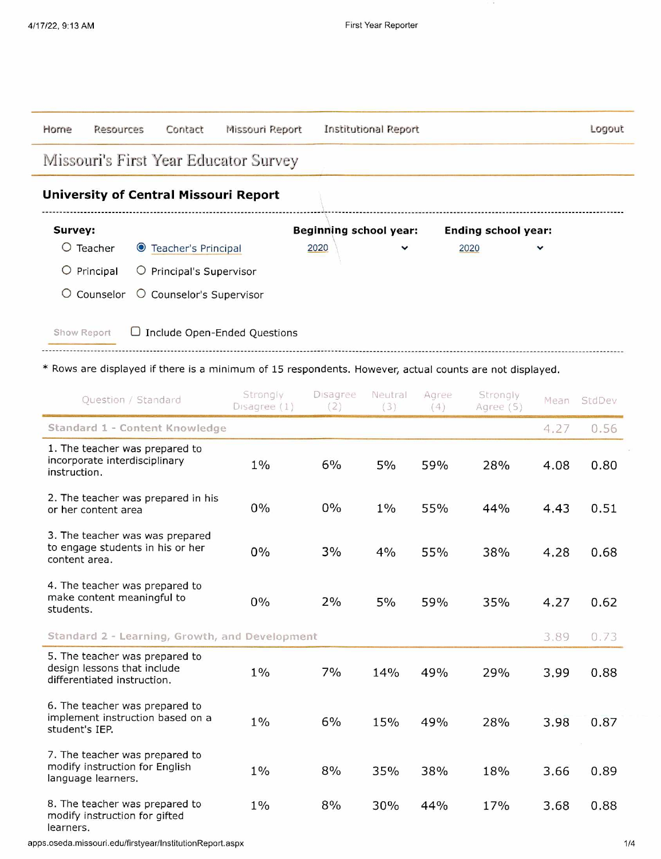| Horne                                        | Resources | Contact                        | Missouri Report              | Institutional Report          |      |                            | Logout |  |  |  |
|----------------------------------------------|-----------|--------------------------------|------------------------------|-------------------------------|------|----------------------------|--------|--|--|--|
| Missouri's First Year Educator Survey        |           |                                |                              |                               |      |                            |        |  |  |  |
| <b>University of Central Missouri Report</b> |           |                                |                              |                               |      |                            |        |  |  |  |
| Survey:                                      |           |                                |                              | <b>Beginning school year:</b> |      | <b>Ending school year:</b> |        |  |  |  |
| O                                            | Teacher   | ● Teacher's Principal          |                              | 2020<br>$\checkmark$          | 2020 | $\checkmark$               |        |  |  |  |
| O                                            | Principal | $\circ$ Principal's Supervisor |                              |                               |      |                            |        |  |  |  |
| O                                            | Counselor | O Counselor's Supervisor       |                              |                               |      |                            |        |  |  |  |
| Show Report                                  |           |                                | Include Open-Ended Questions |                               |      |                            |        |  |  |  |

## \* Rows are displayed if there is a minimum of 15 respondents. However, actual counts are not displayed.

| Question / Standard                                                                          | Strongly<br>Disagree (1) | Disagree<br>(2) | Neutral<br>(3) | Agree<br>(4) | Strongly<br>Agree (5) | Mean | StdDev |
|----------------------------------------------------------------------------------------------|--------------------------|-----------------|----------------|--------------|-----------------------|------|--------|
| Standard 1 - Content Knowledge                                                               |                          |                 |                |              |                       | 4.27 | 0.56   |
| 1. The teacher was prepared to<br>incorporate interdisciplinary<br>instruction.              | $1\%$                    | 6%              | 5%             | 59%          | 28%                   | 4.08 | 0.80   |
| 2. The teacher was prepared in his<br>or her content area                                    | $0\%$                    | 0%              | $1\%$          | 55%          | 44%                   | 4.43 | 0.51   |
| 3. The teacher was was prepared<br>to engage students in his or her<br>content area.         | 0%                       | 3%              | 4%             | 55%          | 38%                   | 4.28 | 0.68   |
| 4. The teacher was prepared to<br>make content meaningful to<br>students.                    | $0\%$                    | 2%              | 5%             | 59%          | 35%                   | 4.27 | 0.62   |
| Standard 2 - Learning, Growth, and Development                                               |                          |                 |                |              |                       | 3.89 | 0.73   |
| 5. The teacher was prepared to<br>design lessons that include<br>differentiated instruction. | $1\%$                    | 7%              | 14%            | 49%          | 29%                   | 3.99 | 0.88   |
| 6. The teacher was prepared to<br>implement instruction based on a<br>student's IEP.         | $1\%$                    | 6%              | 15%            | 49%          | 28%                   | 3.98 | 0.87   |
| 7. The teacher was prepared to<br>modify instruction for English<br>language learners.       | $1\%$                    | 8%              | 35%            | 38%          | 18%                   | 3.66 | 0.89   |
| 8. The teacher was prepared to<br>modify instruction for gifted<br>learners.                 | $1\%$                    | 8%              | 30%            | 44%          | 17%                   | 3.68 | 0.88   |

apps.oseda.missouri.edu/firstyear/lnstitutionReport.aspx 1/4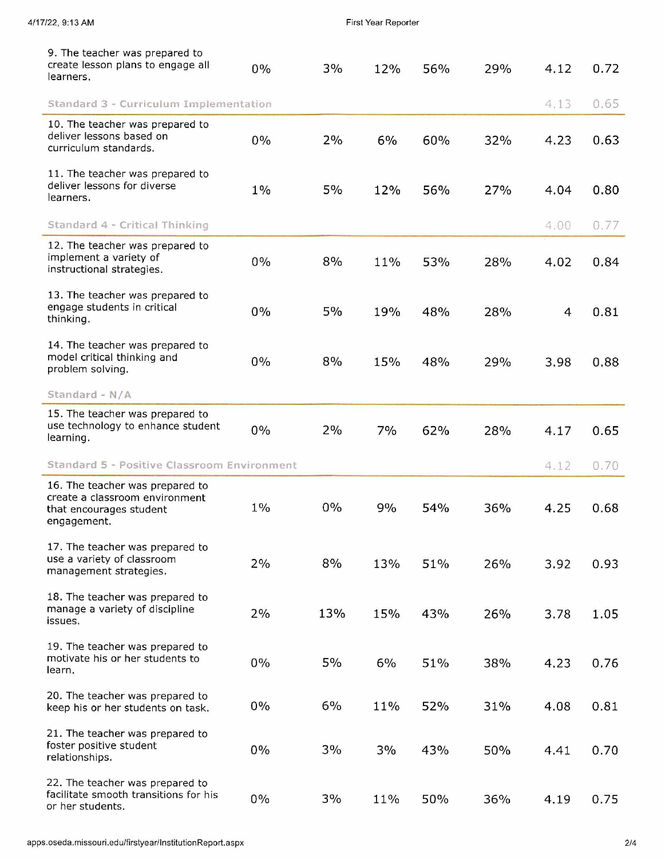| 4/17/22, 9:13 AM                                                                                            |       |       | First Year Reporter |     |     |      |      |  |  |
|-------------------------------------------------------------------------------------------------------------|-------|-------|---------------------|-----|-----|------|------|--|--|
| 9. The teacher was prepared to<br>create lesson plans to engage all<br>learners.                            | 0%    | 3%    | 12%                 | 56% | 29% | 4.12 | 0.72 |  |  |
| Standard 3 - Curriculum Implementation                                                                      |       |       |                     |     |     | 4.13 | 0.65 |  |  |
| 10. The teacher was prepared to<br>deliver lessons based on<br>curriculum standards.                        | $0\%$ | 2%    | 6%                  | 60% | 32% | 4.23 | 0.63 |  |  |
| 11. The teacher was prepared to<br>deliver lessons for diverse<br>learners.                                 | $1\%$ | 5%    | 12%                 | 56% | 27% | 4.04 | 0.80 |  |  |
| Standard 4 - Critical Thinking                                                                              |       |       |                     |     |     | 4.00 | 0.77 |  |  |
| 12. The teacher was prepared to<br>implement a variety of<br>instructional strategies.                      | 0%    | 8%    | 11%                 | 53% | 28% | 4.02 | 0.84 |  |  |
| 13. The teacher was prepared to<br>engage students in critical<br>thinking.                                 | 0%    | 5%    | 19%                 | 48% | 28% | 4    | 0.81 |  |  |
| 14. The teacher was prepared to<br>model critical thinking and<br>problem solving.                          | 0%    | 8%    | 15%                 | 48% | 29% | 3.98 | 0.88 |  |  |
| Standard - N/A                                                                                              |       |       |                     |     |     |      |      |  |  |
| 15. The teacher was prepared to<br>use technology to enhance student<br>learning.                           | 0%    | 2%    | 7%                  | 62% | 28% | 4.17 | 0.65 |  |  |
| Standard 5 - Positive Classroom Environment                                                                 |       |       |                     |     |     | 4.12 | 0.70 |  |  |
| 16. The teacher was prepared to<br>create a classroom environment<br>that encourages student<br>engagement. | $1\%$ | $0\%$ | 9%                  | 54% | 36% | 4.25 | 0.68 |  |  |
| 17. The teacher was prepared to<br>use a variety of classroom<br>management strategies.                     | 2%    | 8%    | 13%                 | 51% | 26% | 3.92 | 0.93 |  |  |
| 18. The teacher was prepared to<br>manage a variety of discipline<br>issues.                                | 2%    | 13%   | 15%                 | 43% | 26% | 3.78 | 1.05 |  |  |
| 19. The teacher was prepared to<br>motivate his or her students to<br>learn.                                | $0\%$ | 5%    | 6%                  | 51% | 38% | 4.23 | 0.76 |  |  |
| 20. The teacher was prepared to<br>keep his or her students on task.                                        | $0\%$ | 6%    | 11%                 | 52% | 31% | 4.08 | 0.81 |  |  |
| 21. The teacher was prepared to<br>foster positive student<br>relationships.                                | $0\%$ | 3%    | 3%                  | 43% | 50% | 4.41 | 0.70 |  |  |
| 22. The teacher was prepared to<br>facilitate smooth transitions for his<br>or her students.                | $0\%$ | 3%    | 11%                 | 50% | 36% | 4.19 | 0.75 |  |  |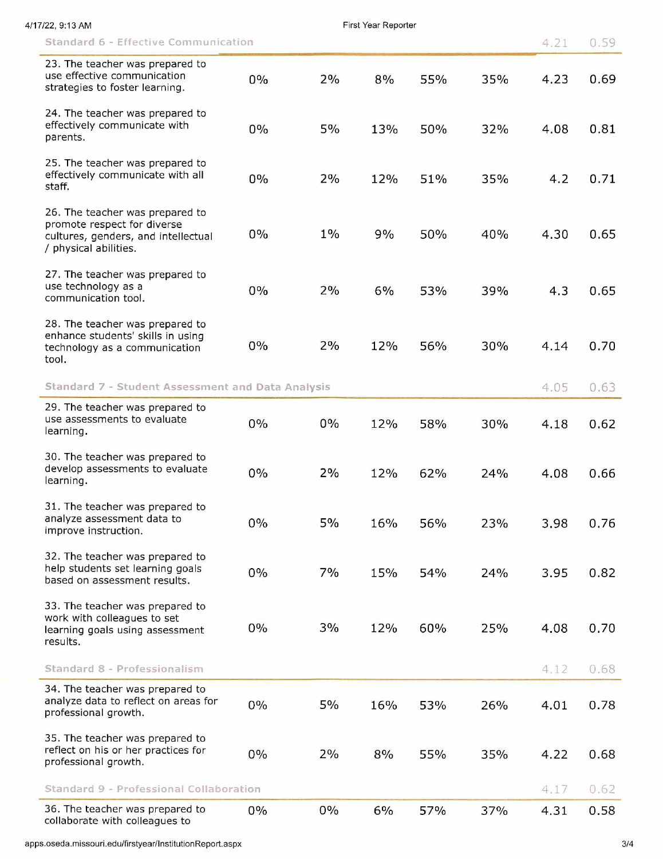| 7/22, 9:13 AM |                                                                                                                                |       |       | First Year Reporter |     |     |      |      |
|---------------|--------------------------------------------------------------------------------------------------------------------------------|-------|-------|---------------------|-----|-----|------|------|
|               | Standard 6 - Effective Communication                                                                                           |       |       |                     |     |     | 4.21 | 0.59 |
|               | 23. The teacher was prepared to<br>use effective communication<br>strategies to foster learning.                               | 0%    | 2%    | 8%                  | 55% | 35% | 4.23 | 0.69 |
|               | 24. The teacher was prepared to<br>effectively communicate with<br>parents.                                                    | 0%    | $5\%$ | 13%                 | 50% | 32% | 4.08 | 0.81 |
|               | 25. The teacher was prepared to<br>effectively communicate with all<br>staff.                                                  | 0%    | 2%    | 12%                 | 51% | 35% | 4.2  | 0.71 |
|               | 26. The teacher was prepared to<br>promote respect for diverse<br>cultures, genders, and intellectual<br>/ physical abilities. | 0%    | $1\%$ | 9%                  | 50% | 40% | 4.30 | 0.65 |
|               | 27. The teacher was prepared to<br>use technology as a<br>communication tool.                                                  | 0%    | 2%    | 6%                  | 53% | 39% | 4.3  | 0.65 |
|               | 28. The teacher was prepared to<br>enhance students' skills in using<br>technology as a communication<br>tool.                 | 0%    | 2%    | 12%                 | 56% | 30% | 4.14 | 0.70 |
|               | Standard 7 - Student Assessment and Data Analysis                                                                              |       |       |                     |     |     | 4.05 | 0.63 |
|               | 29. The teacher was prepared to<br>use assessments to evaluate<br>learning.                                                    | $0\%$ | $0\%$ | 12%                 | 58% | 30% | 4.18 | 0.62 |
|               | 30. The teacher was prepared to<br>develop assessments to evaluate<br>learning.                                                | 0%    | 2%    | 12%                 | 62% | 24% | 4.08 | 0.66 |
|               | 31. The teacher was prepared to<br>analyze assessment data to<br>improve instruction.                                          | $0\%$ | 5%    | 16%                 | 56% | 23% | 3.98 | 0.76 |
|               | 32. The teacher was prepared to<br>help students set learning goals<br>based on assessment results.                            | $0\%$ | 7%    | 15%                 | 54% | 24% | 3.95 | 0.82 |
|               | 33. The teacher was prepared to<br>work with colleagues to set<br>learning goals using assessment<br>results.                  | $0\%$ | 3%    | 12%                 | 60% | 25% | 4.08 | 0.70 |
|               | Standard 8 - Professionalism                                                                                                   |       |       |                     |     |     | 4.12 | 0.68 |
|               | 34. The teacher was prepared to<br>analyze data to reflect on areas for<br>professional growth.                                | 0%    | $5\%$ | 16%                 | 53% | 26% | 4.01 | 0.78 |
|               | 35. The teacher was prepared to<br>reflect on his or her practices for<br>professional growth.                                 | $0\%$ | 2%    | 8%                  | 55% | 35% | 4.22 | 0.68 |
|               | Standard 9 - Professional Collaboration                                                                                        |       |       |                     |     |     | 4.17 | 0.62 |
|               | 36. The teacher was prepared to<br>collaborate with colleagues to                                                              | $0\%$ | $0\%$ | 6%                  | 57% | 37% | 4.31 | 0.58 |